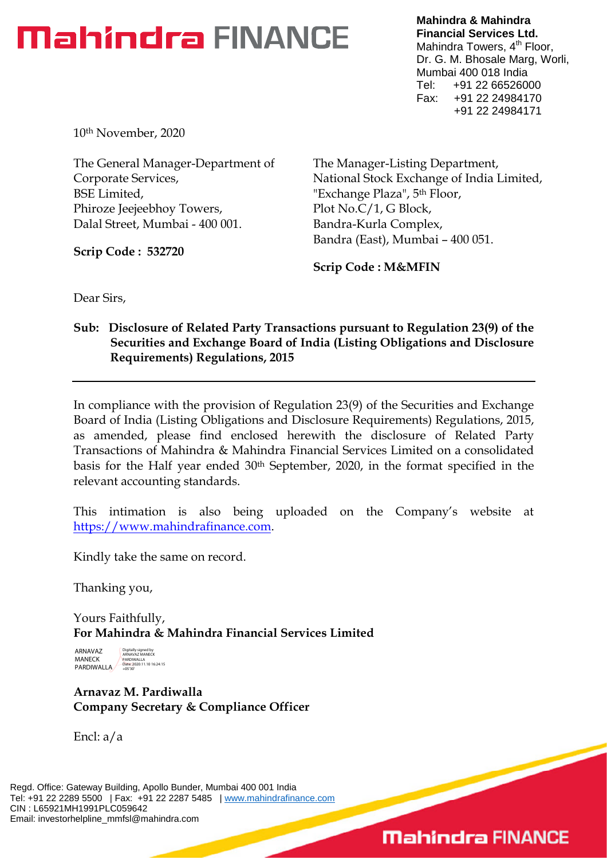**Mahindra & Mahindra Financial Services Ltd.** Mahindra Towers, 4<sup>th</sup> Floor, Dr. G. M. Bhosale Marg, Worli, Mumbai 400 018 India Tel: +91 22 66526000 Fax: +91 22 24984170 +91 22 24984171

10th November, 2020

The General Manager-Department of Corporate Services, BSE Limited, Phiroze Jeejeebhoy Towers, Dalal Street, Mumbai - 400 001.

**Scrip Code : 532720**

The Manager-Listing Department, National Stock Exchange of India Limited, "Exchange Plaza", 5<sup>th</sup> Floor, Plot No.C/1, G Block, Bandra-Kurla Complex, Bandra (East), Mumbai – 400 051.

**Scrip Code : M&MFIN**

Dear Sirs,

### **Sub: Disclosure of Related Party Transactions pursuant to Regulation 23(9) of the Securities and Exchange Board of India (Listing Obligations and Disclosure Requirements) Regulations, 2015**

In compliance with the provision of Regulation 23(9) of the Securities and Exchange Board of India (Listing Obligations and Disclosure Requirements) Regulations, 2015, as amended, please find enclosed herewith the disclosure of Related Party Transactions of Mahindra & Mahindra Financial Services Limited on a consolidated basis for the Half year ended 30th September, 2020, in the format specified in the relevant accounting standards.

This intimation is also being uploaded on the Company's website at https://www.mahindrafinance.com.

Kindly take the same on record.

Thanking you,

Yours Faithfully, **For Mahindra & Mahindra Financial Services Limited**

ARNAVAZ MANECK PARDIWALLA Digitally signed by ARNAVAZ MANECK PARDIWALLA Date: 2020.11.10 16:24:15 +05'30'

**Arnavaz M. Pardiwalla Company Secretary & Compliance Officer**

Encl: a/a

Regd. Office: Gateway Building, Apollo Bunder, Mumbai 400 001 India Tel: +91 22 2289 5500 | Fax: +91 22 2287 5485 | www.mahindrafinance.com CIN : L65921MH1991PLC059642 Email: investorhelpline\_mmfsl@mahindra.com

## **Mahindra FINANCE**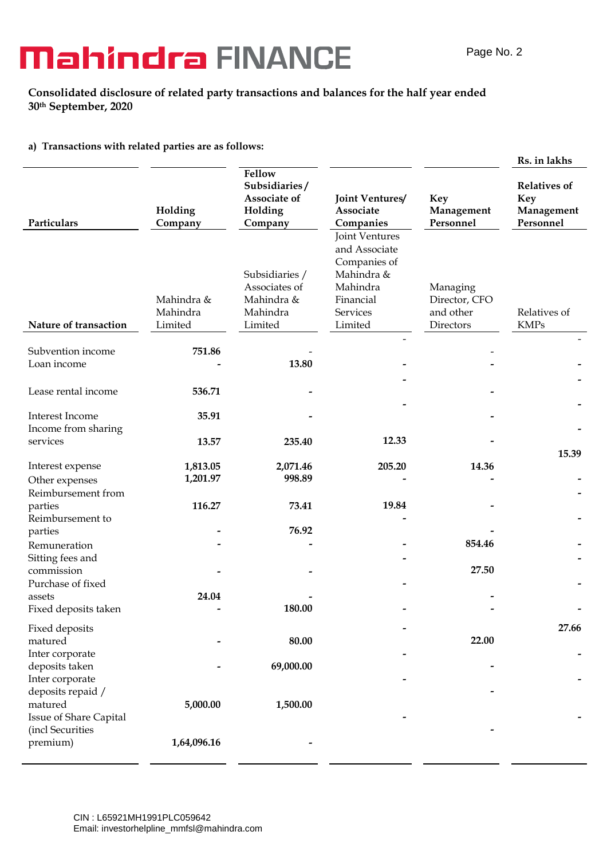#### **Consolidated disclosure of related party transactions and balances for the half year ended 30th September, 2020**

#### **a) Transactions with related parties are as follows:**

|                                                          |                                   |                                                                      |                                                                                                               |                                                     | Rs. in lakhs                                                 |
|----------------------------------------------------------|-----------------------------------|----------------------------------------------------------------------|---------------------------------------------------------------------------------------------------------------|-----------------------------------------------------|--------------------------------------------------------------|
| Particulars                                              | Holding<br>Company                | Fellow<br>Subsidiaries/<br>Associate of<br>Holding<br>Company        | Joint Ventures/<br>Associate<br>Companies                                                                     | Key<br>Management<br>Personnel                      | <b>Relatives of</b><br><b>Key</b><br>Management<br>Personnel |
| Nature of transaction                                    | Mahindra &<br>Mahindra<br>Limited | Subsidiaries /<br>Associates of<br>Mahindra &<br>Mahindra<br>Limited | Joint Ventures<br>and Associate<br>Companies of<br>Mahindra &<br>Mahindra<br>Financial<br>Services<br>Limited | Managing<br>Director, CFO<br>and other<br>Directors | Relatives of<br><b>KMPs</b>                                  |
| Subvention income<br>Loan income                         | 751.86                            | 13.80                                                                |                                                                                                               |                                                     |                                                              |
| Lease rental income                                      | 536.71                            |                                                                      |                                                                                                               |                                                     |                                                              |
| Interest Income<br>Income from sharing                   | 35.91                             |                                                                      |                                                                                                               |                                                     |                                                              |
| services                                                 | 13.57                             | 235.40                                                               | 12.33                                                                                                         |                                                     | 15.39                                                        |
| Interest expense<br>Other expenses<br>Reimbursement from | 1,813.05<br>1,201.97              | 2,071.46<br>998.89                                                   | 205.20                                                                                                        | 14.36                                               |                                                              |
| parties<br>Reimbursement to                              | 116.27                            | 73.41                                                                | 19.84                                                                                                         |                                                     |                                                              |
| parties<br>Remuneration<br>Sitting fees and              |                                   | 76.92                                                                |                                                                                                               | 854.46                                              |                                                              |
| commission<br>Purchase of fixed                          |                                   |                                                                      |                                                                                                               | 27.50                                               |                                                              |
| assets<br>Fixed deposits taken                           | 24.04                             | 180.00                                                               |                                                                                                               |                                                     |                                                              |
| Fixed deposits<br>matured<br>Inter corporate             |                                   | 80.00                                                                |                                                                                                               | 22.00                                               | 27.66                                                        |
| deposits taken<br>Inter corporate<br>deposits repaid /   |                                   | 69,000.00                                                            |                                                                                                               |                                                     |                                                              |
| matured<br>Issue of Share Capital<br>(incl Securities    | 5,000.00                          | 1,500.00                                                             |                                                                                                               |                                                     |                                                              |
| premium)                                                 | 1,64,096.16                       |                                                                      |                                                                                                               |                                                     |                                                              |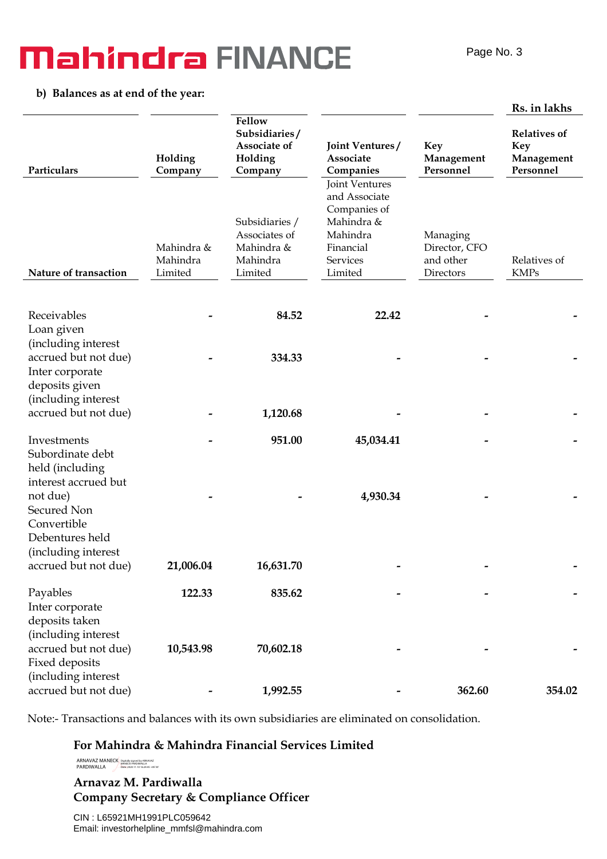#### **b) Balances as at end of the year:**

|                                                                                                          |                                   |                                                                      |                                                                                                                      |                                                     | Rs. in lakhs                                                 |
|----------------------------------------------------------------------------------------------------------|-----------------------------------|----------------------------------------------------------------------|----------------------------------------------------------------------------------------------------------------------|-----------------------------------------------------|--------------------------------------------------------------|
| Particulars                                                                                              | Holding<br>Company                | Fellow<br>Subsidiaries/<br>Associate of<br>Holding<br>Company        | Joint Ventures/<br>Associate<br>Companies                                                                            | <b>Key</b><br>Management<br>Personnel               | <b>Relatives of</b><br><b>Key</b><br>Management<br>Personnel |
| Nature of transaction                                                                                    | Mahindra &<br>Mahindra<br>Limited | Subsidiaries /<br>Associates of<br>Mahindra &<br>Mahindra<br>Limited | Joint Ventures<br>and Associate<br>Companies of<br>Mahindra &<br>Mahindra<br>Financial<br><b>Services</b><br>Limited | Managing<br>Director, CFO<br>and other<br>Directors | Relatives of<br><b>KMPs</b>                                  |
| Receivables                                                                                              |                                   | 84.52                                                                | 22.42                                                                                                                |                                                     |                                                              |
| Loan given<br>(including interest<br>accrued but not due)<br>Inter corporate<br>deposits given           |                                   | 334.33                                                               |                                                                                                                      |                                                     |                                                              |
| (including interest<br>accrued but not due)                                                              |                                   | 1,120.68                                                             |                                                                                                                      |                                                     |                                                              |
| Investments<br>Subordinate debt<br>held (including                                                       |                                   | 951.00                                                               | 45,034.41                                                                                                            |                                                     |                                                              |
| interest accrued but<br>not due)<br>Secured Non<br>Convertible<br>Debentures held<br>(including interest |                                   |                                                                      | 4,930.34                                                                                                             |                                                     |                                                              |
| accrued but not due)                                                                                     | 21,006.04                         | 16,631.70                                                            |                                                                                                                      |                                                     |                                                              |
| Payables<br>Inter corporate<br>deposits taken<br>(including interest                                     | 122.33                            | 835.62                                                               |                                                                                                                      |                                                     |                                                              |
| accrued but not due)<br>Fixed deposits<br>(including interest                                            | 10,543.98                         | 70,602.18                                                            |                                                                                                                      |                                                     |                                                              |
| accrued but not due)                                                                                     |                                   | 1,992.55                                                             |                                                                                                                      | 362.60                                              | 354.02                                                       |

Note:- Transactions and balances with its own subsidiaries are eliminated on consolidation.

**For Mahindra & Mahindra Financial Services Limited**

ARNAVAZ MANECK PARDIWALLA Digitally signed by ARNAVAZ MANECK PARDIWALLA Date: 2020.11.10 16:24:45 +05'30'

### **Arnavaz M. Pardiwalla Company Secretary & Compliance Officer**

CIN : L65921MH1991PLC059642 Email: investorhelpline\_mmfsl@mahindra.com